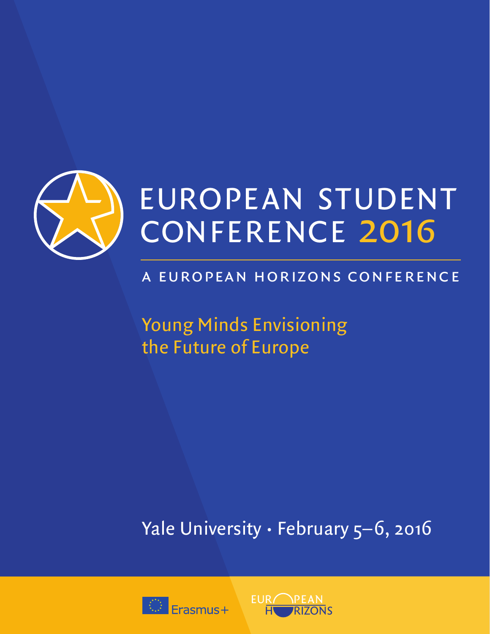

## a european horizons conference

Young Minds Envisioning the Future of Europe

Yale University · February 5-6, 2016



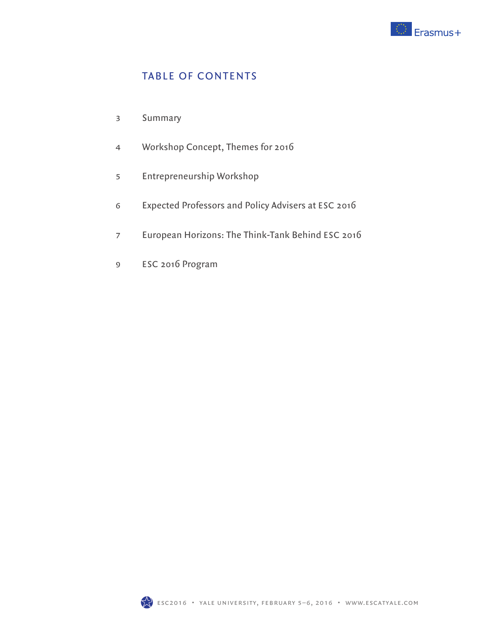

### TABLE OF CONTENTS

- Summary 3
- Workshop Concept, Themes for 2016 4
- Entrepreneurship Workshop 5
- Expected Professors and Policy Advisers at ESC 2016 6
- European Horizons: The Think-Tank Behind ESC 2016 7
- ESC 2016 Program 9

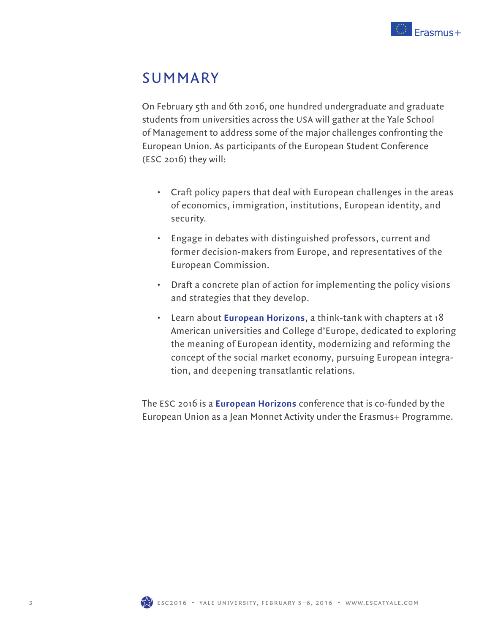

## SUMMARY

On February 5th and 6th 2016, one hundred undergraduate and graduate students from universities across the USA will gather at the Yale School of Management to address some of the major challenges confronting the European Union. As participants of the European Student Conference (ESC 2016) they will:

- Craft policy papers that deal with European challenges in the areas of economics, immigration, institutions, European identity, and security.
- Engage in debates with distinguished professors, current and former decision-makers from Europe, and representatives of the European Commission.
- Draft a concrete plan of action for implementing the policy visions and strategies that they develop.
- Learn about **European Horizons**, a think-tank with chapters at 18 American universities and College d'Europe, dedicated to exploring the meaning of European identity, modernizing and reforming the concept of the social market economy, pursuing European integration, and deepening transatlantic relations.

The ESC 2016 is a **European Horizons** conference that is co-funded by the European Union as a Jean Monnet Activity under the Erasmus+ Programme.

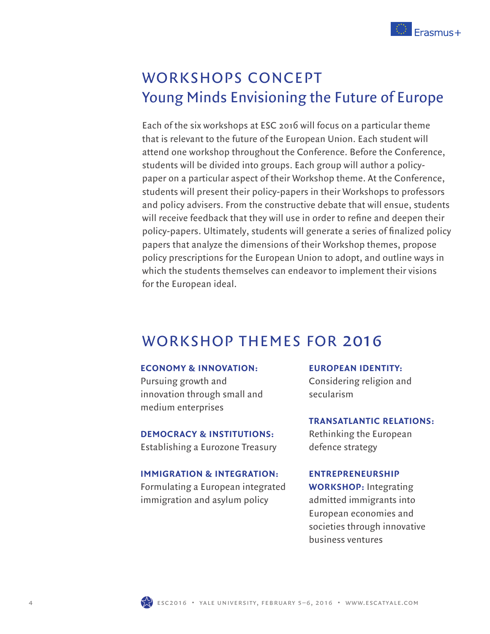

# WORKSHOPS CONCEPT Young Minds Envisioning the Future of Europe

Each of the six workshops at ESC 2016 will focus on a particular theme that is relevant to the future of the European Union. Each student will attend one workshop throughout the Conference. Before the Conference, students will be divided into groups. Each group will author a policypaper on a particular aspect of their Workshop theme. At the Conference, students will present their policy-papers in their Workshops to professors and policy advisers. From the constructive debate that will ensue, students will receive feedback that they will use in order to refine and deepen their policy-papers. Ultimately, students will generate a series of finalized policy papers that analyze the dimensions of their Workshop themes, propose policy prescriptions for the European Union to adopt, and outline ways in which the students themselves can endeavor to implement their visions for the European ideal.

### WORKSHOP THEMES FOR 2016

#### **ECONOMY & INNOVATION:**

Pursuing growth and innovation through small and medium enterprises

#### **DEMOCRACY & INSTITUTIONS:**

Establishing a Eurozone Treasury

#### **IMMIGRATION & INTEGRATION:**

Formulating a European integrated immigration and asylum policy

#### **EUROPEAN IDENTITY:**

Considering religion and secularism

#### **TRANSATLANTIC RELATIONS:**

Rethinking the European defence strategy

#### **ENTREPRENEURSHIP**

**WORKSHOP:** Integrating admitted immigrants into European economies and societies through innovative business ventures

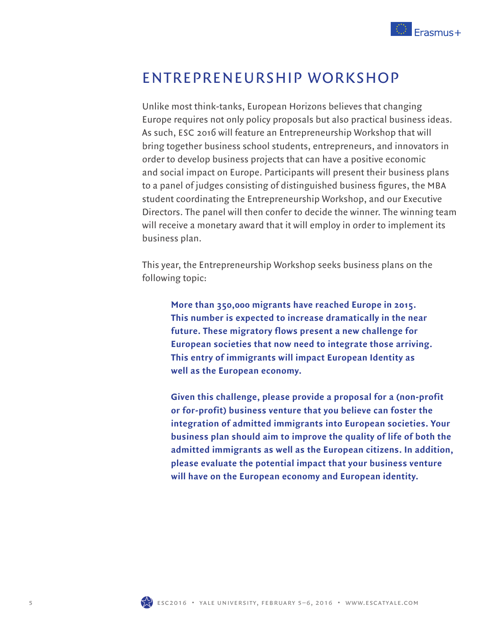

### ENTREPRENEURSHIP WORKSHOP

Unlike most think-tanks, European Horizons believes that changing Europe requires not only policy proposals but also practical business ideas. As such, ESC 2016 will feature an Entrepreneurship Workshop that will bring together business school students, entrepreneurs, and innovators in order to develop business projects that can have a positive economic and social impact on Europe. Participants will present their business plans to a panel of judges consisting of distinguished business figures, the MBA student coordinating the Entrepreneurship Workshop, and our Executive Directors. The panel will then confer to decide the winner. The winning team will receive a monetary award that it will employ in order to implement its business plan.

This year, the Entrepreneurship Workshop seeks business plans on the following topic:

**More than 350,000 migrants have reached Europe in 2015. This number is expected to increase dramatically in the near future. These migratory flows present a new challenge for European societies that now need to integrate those arriving. This entry of immigrants will impact European Identity as well as the European economy.** 

**Given this challenge, please provide a proposal for a (non-profit or for-profit) business venture that you believe can foster the integration of admitted immigrants into European societies. Your business plan should aim to improve the quality of life of both the admitted immigrants as well as the European citizens. In addition, please evaluate the potential impact that your business venture will have on the European economy and European identity.**



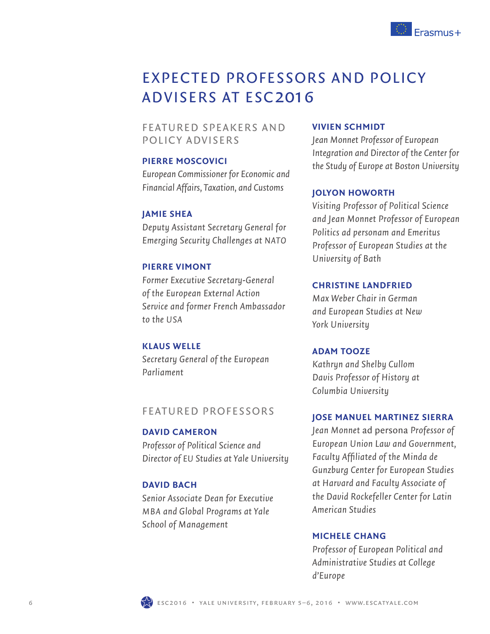

# EXPECTED PROFESSORS AND POLICY ADVISERS AT ESC2016

### FEATURED SPEAKERS AND POLICY ADVISERS

#### **PIERRE MOSCOVICI**

*European Commissioner for Economic and Financial Affairs, Taxation, and Customs*

#### **JAMIE SHEA**

*Deputy Assistant Secretary General for Emerging Security Challenges at NATO*

#### **PIERRE VIMONT**

*Former Executive Secretary-General of the European External Action Service and former French Ambassador to the USA*

#### **KLAUS WELLE**

*Secretary General of the European Parliament*

### FEATURED PROFESSORS

#### **DAVID CAMERON**

*Professor of Political Science and Director of EU Studies at Yale University*

#### **DAVID BACH**

*Senior Associate Dean for Executive MBA and Global Programs at Yale School of Management*

#### **VIVIEN SCHMIDT**

*Jean Monnet Professor of European Integration and Director of the Center for the Study of Europe at Boston University*

#### **JOLYON HOWORTH**

*Visiting Professor of Political Science and Jean Monnet Professor of European Politics ad personam and Emeritus Professor of European Studies at the University of Bath*

#### **CHRISTINE LANDFRIED**

*Max Weber Chair in German and European Studies at New York University*

#### **ADAM TOOZE**

*Kathryn and Shelby Cullom Davis Professor of History at Columbia University*

#### **JOSE MANUEL MARTINEZ SIERRA**

*Jean Monnet* ad persona *Professor of European Union Law and Government, Faculty Affi liated of the Minda de Gunzburg Center for European Studies at Harvard and Faculty Associate of the David Rockefeller Center for Latin American Studies*

#### **MICHELE CHANG**

*Professor of European Political and Administrative Studies at College d'Europe*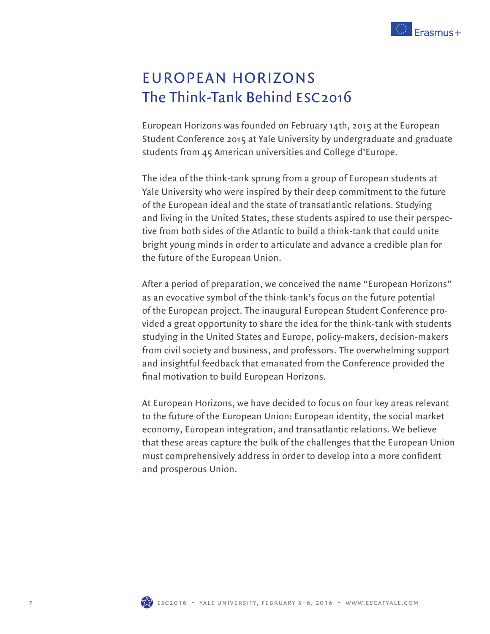

# EUROPEAN HORIZONS The Think-Tank Behind ESC2016

European Horizons was founded on February 14th, 2015 at the European Student Conference 2015 at Yale University by undergraduate and graduate students from 45 American universities and College d'Europe.

The idea of the think-tank sprung from a group of European students at Yale University who were inspired by their deep commitment to the future of the European ideal and the state of transatlantic relations. Studying and living in the United States, these students aspired to use their perspective from both sides of the Atlantic to build a think-tank that could unite bright young minds in order to articulate and advance a credible plan for the future of the European Union.

After a period of preparation, we conceived the name "European Horizons" as an evocative symbol of the think-tank's focus on the future potential of the European project. The inaugural European Student Conference provided a great opportunity to share the idea for the think-tank with students studying in the United States and Europe, policy-makers, decision-makers from civil society and business, and professors. The overwhelming support and insightful feedback that emanated from the Conference provided the final motivation to build European Horizons.

At European Horizons, we have decided to focus on four key areas relevant to the future of the European Union: European identity, the social market economy, European integration, and transatlantic relations. We believe that these areas capture the bulk of the challenges that the European Union must comprehensively address in order to develop into a more confident and prosperous Union.

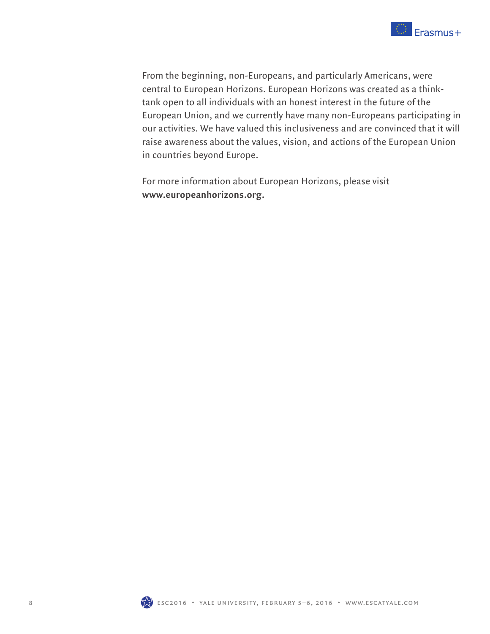

From the beginning, non-Europeans, and particularly Americans, were central to European Horizons. European Horizons was created as a thinktank open to all individuals with an honest interest in the future of the European Union, and we currently have many non-Europeans participating in our activities. We have valued this inclusiveness and are convinced that it will raise awareness about the values, vision, and actions of the European Union in countries beyond Europe.

For more information about European Horizons, please visit **www.europeanhorizons.org.**

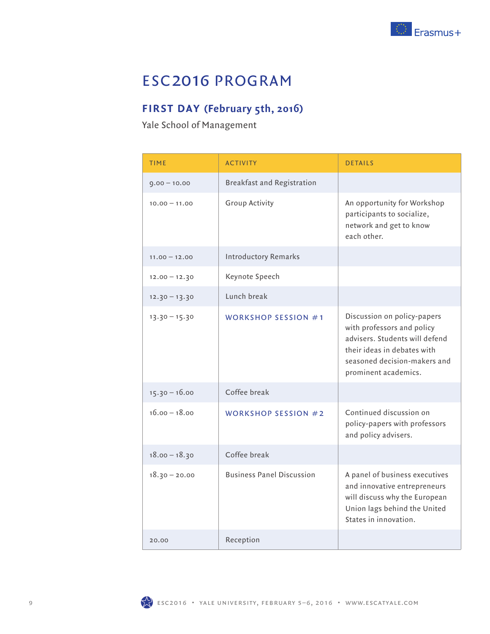

## ESC2016 PROGRAM

### **FIRST DAY (February 5th, 2016)**

Yale School of Management

| TIME            | <b>ACTIVITY</b>                  | <b>DETAILS</b>                                                                                                                                                                     |
|-----------------|----------------------------------|------------------------------------------------------------------------------------------------------------------------------------------------------------------------------------|
| $0.00 - 10.00$  | Breakfast and Registration       |                                                                                                                                                                                    |
| $10.00 - 11.00$ | <b>Group Activity</b>            | An opportunity for Workshop<br>participants to socialize,<br>network and get to know<br>each other.                                                                                |
| $11.00 - 12.00$ | <b>Introductory Remarks</b>      |                                                                                                                                                                                    |
| $12.00 - 12.30$ | Keynote Speech                   |                                                                                                                                                                                    |
| $12.30 - 13.30$ | Lunch break                      |                                                                                                                                                                                    |
| $13.30 - 15.30$ | WORKSHOP SESSION $#1$            | Discussion on policy-papers<br>with professors and policy<br>advisers. Students will defend<br>their ideas in debates with<br>seasoned decision-makers and<br>prominent academics. |
| $15.30 - 16.00$ | Coffee break                     |                                                                                                                                                                                    |
| $16.00 - 18.00$ | <b>WORKSHOP SESSION #2</b>       | Continued discussion on<br>policy-papers with professors<br>and policy advisers.                                                                                                   |
| $18.00 - 18.30$ | Coffee break                     |                                                                                                                                                                                    |
| $18.30 - 20.00$ | <b>Business Panel Discussion</b> | A panel of business executives<br>and innovative entrepreneurs<br>will discuss why the European<br>Union lags behind the United<br>States in innovation.                           |
| 20.00           | Reception                        |                                                                                                                                                                                    |